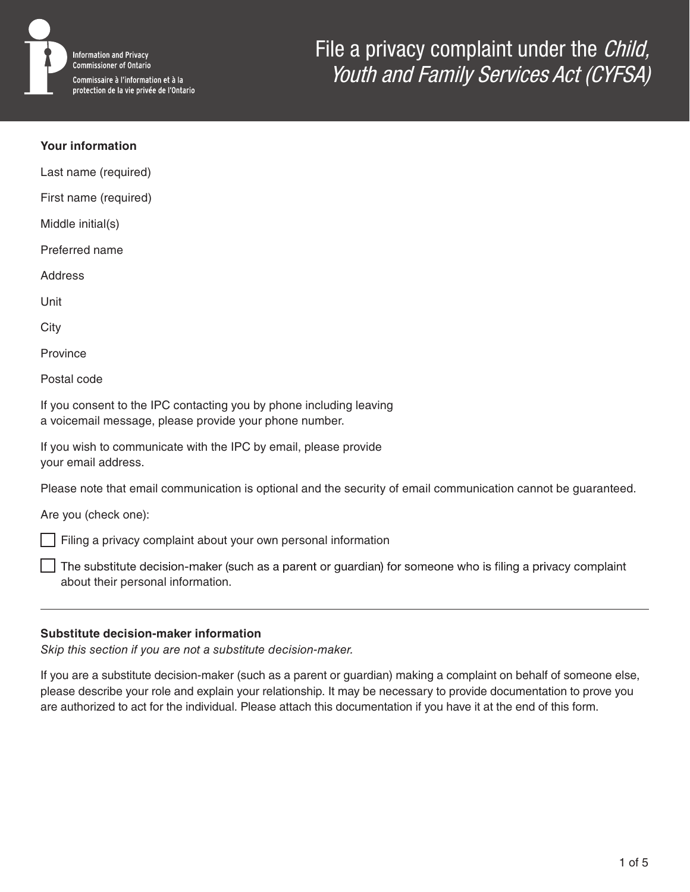

### **Your information**

Last name (required)

First name (required)

Middle initial(s)

Preferred name

**Address** 

Unit

**City** 

Province

Postal code

If you consent to the IPC contacting you by phone including leaving a voicemail message, please provide your phone number.

If you wish to communicate with the IPC by email, please provide your email address.

Please note that email communication is optional and the security of email communication cannot be guaranteed.

Are you (check one):

Filing a privacy complaint about your own personal information

The substitute decision-maker (such as a parent or guardian) for someone who is filing a privacy complaint about their personal information.

### **Substitute decision-maker information**

*Skip this section if you are not a substitute decision-maker.*

If you are a substitute decision-maker (such as a parent or guardian) making a complaint on behalf of someone else, please describe your role and explain your relationship. It may be necessary to provide documentation to prove you are authorized to act for the individual. Please attach this documentation if you have it at the end of this form.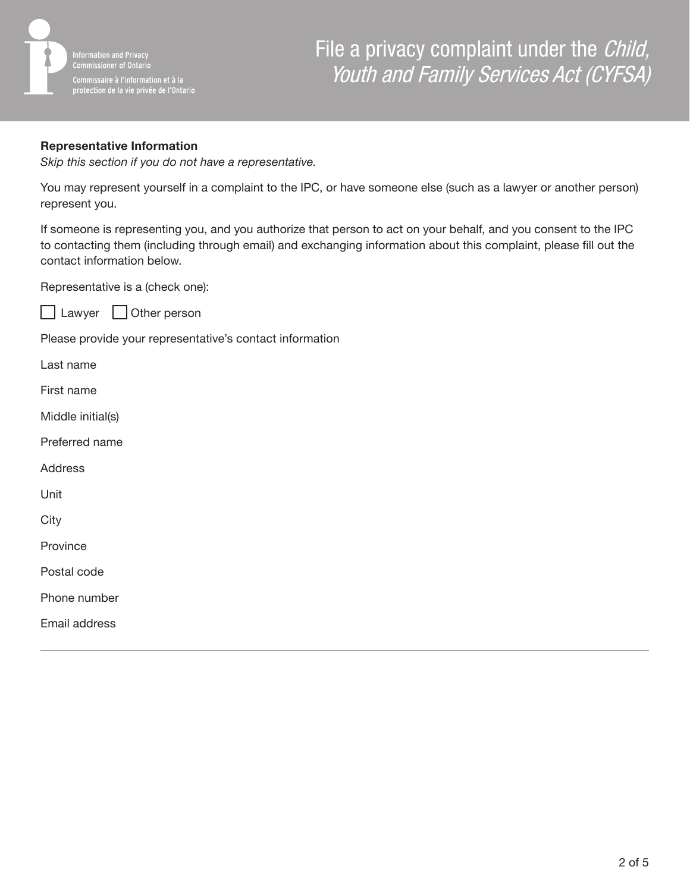

## **Representative Information**

*Skip this section if you do not have a representative.*

You may represent yourself in a complaint to the IPC, or have someone else (such as a lawyer or another person) represent you.

If someone is representing you, and you authorize that person to act on your behalf, and you consent to the IPC to contacting them (including through email) and exchanging information about this complaint, please fill out the contact information below.

Representative is a (check one):



Please provide your representative's contact information

Last name First name Middle initial(s) Preferred name **Address** Unit **City Province** Postal code Phone number Email address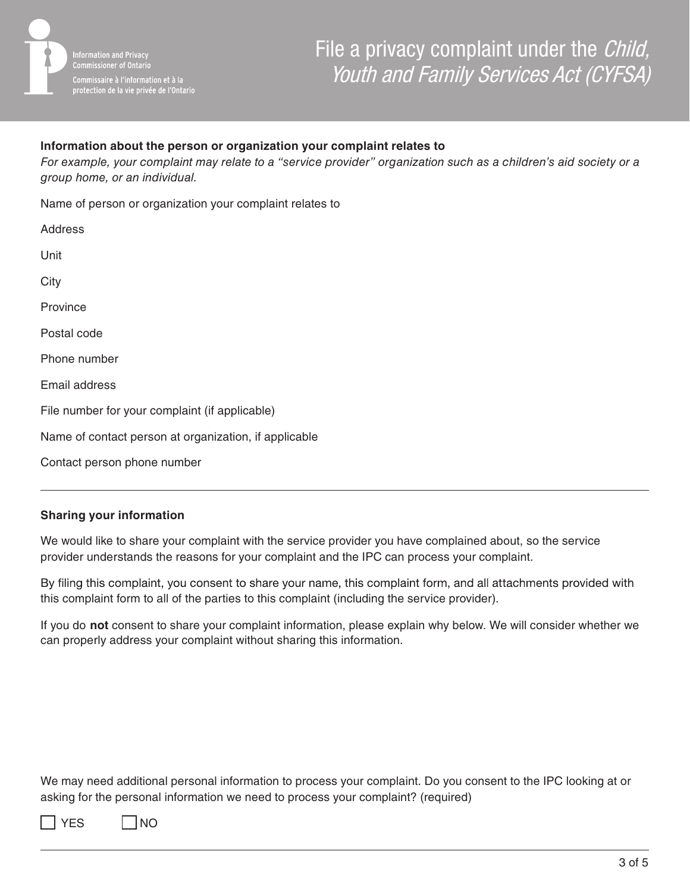

## **Information about the person or organization your complaint relates to**

*For example, your complaint may relate to a "service provider" organization such as a children's aid society or a group home, or an individual.*

Name of person or organization your complaint relates to

| Address                                               |
|-------------------------------------------------------|
| Unit                                                  |
| City                                                  |
| Province                                              |
| Postal code                                           |
| Phone number                                          |
| Email address                                         |
| File number for your complaint (if applicable)        |
| Name of contact person at organization, if applicable |
| Contact person phone number                           |

### **Sharing your information**

We would like to share your complaint with the service provider you have complained about, so the service provider understands the reasons for your complaint and the IPC can process your complaint.

By filing this complaint, you consent to share your name, this complaint form, and all attachments provided with this complaint form to all of the parties to this complaint (including the service provider).

If you do **not** consent to share your complaint information, please explain why below. We will consider whether we can properly address your complaint without sharing this information.

We may need additional personal information to process your complaint. Do you consent to the IPC looking at or asking for the personal information we need to process your complaint? (required)

| v<br>× |
|--------|
|        |

| INO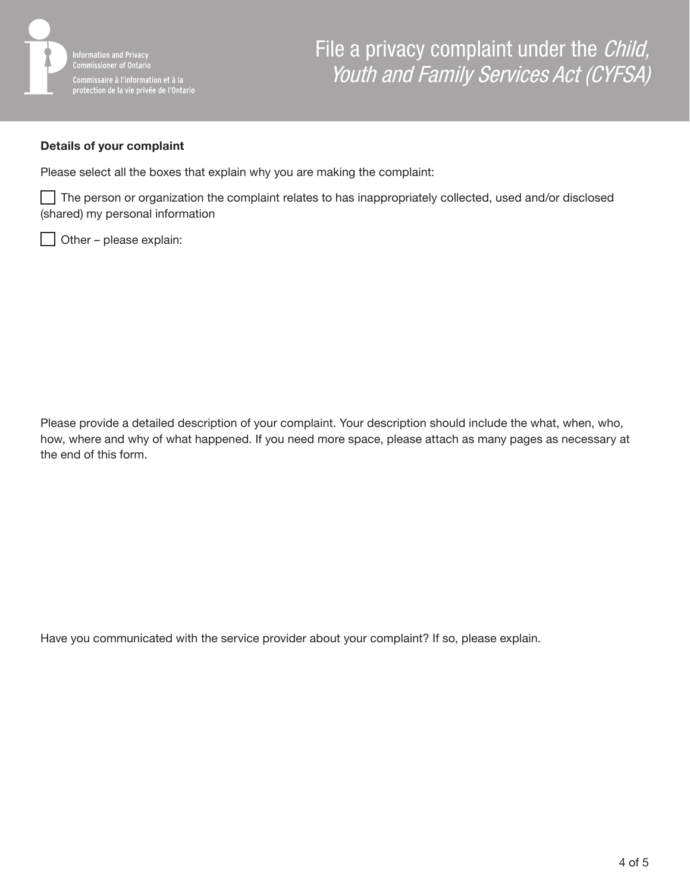

### **Details of your complaint**

Please select all the boxes that explain why you are making the complaint:

The person or organization the complaint relates to has inappropriately collected, used and/or disclosed (shared) my personal information

Other – please explain:

Please provide a detailed description of your complaint. Your description should include the what, when, who, how, where and why of what happened. If you need more space, please attach as many pages as necessary at the end of this form.

Have you communicated with the service provider about your complaint? If so, please explain.